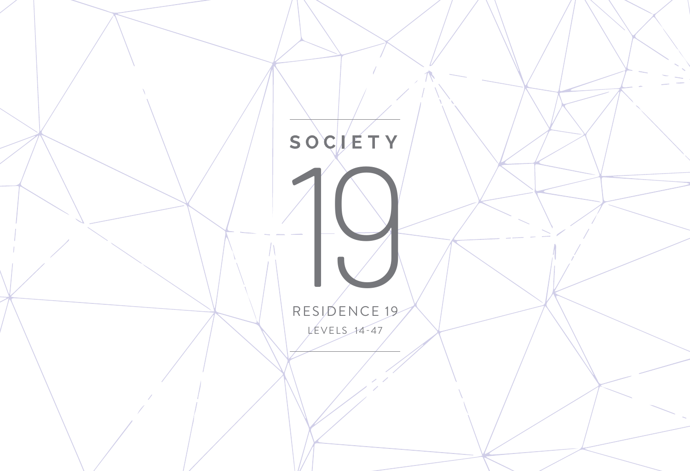